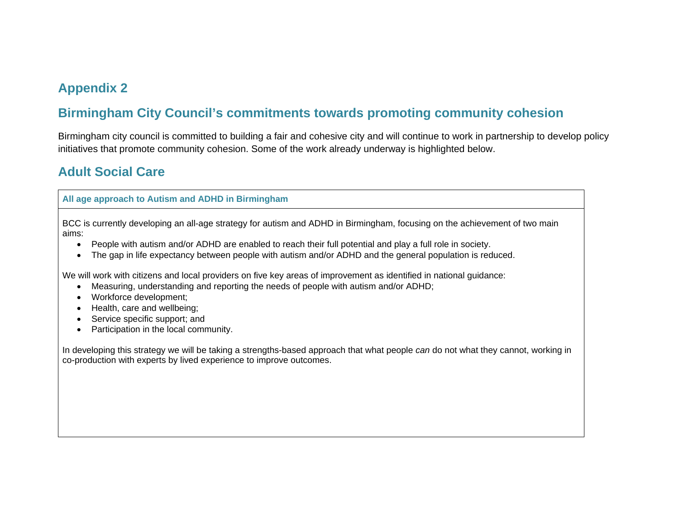# **Appendix 2**

# **Birmingham City Council's commitments towards promoting community cohesion**

Birmingham city council is committed to building a fair and cohesive city and will continue to work in partnership to develop policy initiatives that promote community cohesion. Some of the work already underway is highlighted below.

# **Adult Social Care**

**All age approach to Autism and ADHD in Birmingham**

BCC is currently developing an all-age strategy for autism and ADHD in Birmingham, focusing on the achievement of two main aims:

- People with autism and/or ADHD are enabled to reach their full potential and play a full role in society.
- The gap in life expectancy between people with autism and/or ADHD and the general population is reduced.

We will work with citizens and local providers on five key areas of improvement as identified in national guidance:

- Measuring, understanding and reporting the needs of people with autism and/or ADHD;
- Workforce development;
- Health, care and wellbeing;
- Service specific support; and
- Participation in the local community.

In developing this strategy we will be taking a strengths-based approach that what people *can* do not what they cannot, working in co-production with experts by lived experience to improve outcomes.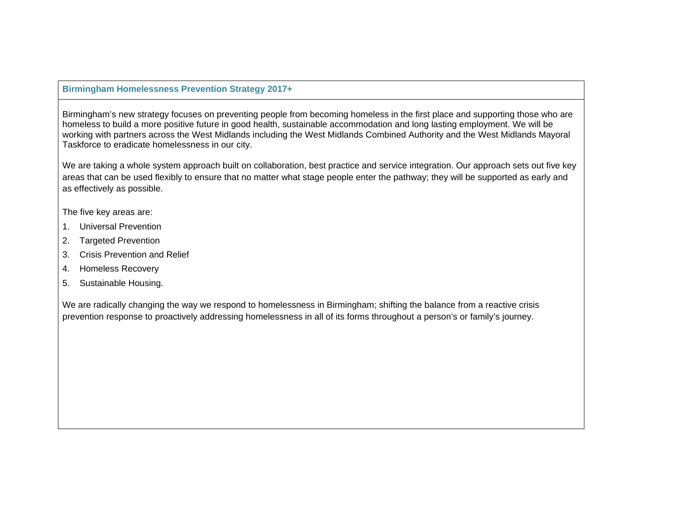# **Birmingham Homelessness Prevention Strategy 2017+**

Birmingham's new strategy focuses on preventing people from becoming homeless in the first place and supporting those who are homeless to build a more positive future in good health, sustainable accommodation and long lasting employment. We will be working with partners across the West Midlands including the West Midlands Combined Authority and the West Midlands Mayoral Taskforce to eradicate homelessness in our city.

We are taking a whole system approach built on collaboration, best practice and service integration. Our approach sets out five key areas that can be used flexibly to ensure that no matter what stage people enter the pathway; they will be supported as early and as effectively as possible.

The five key areas are:

- 1. Universal Prevention
- 2. Targeted Prevention
- 3. Crisis Prevention and Relief
- 4. Homeless Recovery
- 5. Sustainable Housing.

We are radically changing the way we respond to homelessness in Birmingham; shifting the balance from a reactive crisis prevention response to proactively addressing homelessness in all of its forms throughout a person's or family's journey.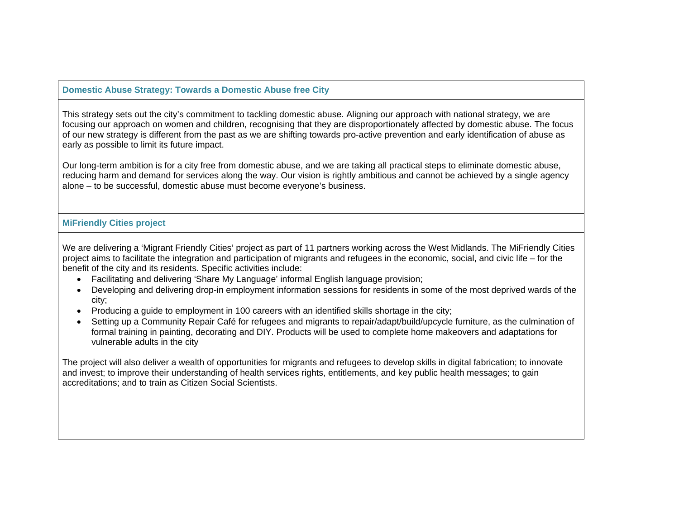# **Domestic Abuse Strategy: Towards a Domestic Abuse free City**

This strategy sets out the city's commitment to tackling domestic abuse. Aligning our approach with national strategy, we are focusing our approach on women and children, recognising that they are disproportionately affected by domestic abuse. The focus of our new strategy is different from the past as we are shifting towards pro-active prevention and early identification of abuse as early as possible to limit its future impact.

Our long-term ambition is for a city free from domestic abuse, and we are taking all practical steps to eliminate domestic abuse, reducing harm and demand for services along the way. Our vision is rightly ambitious and cannot be achieved by a single agency alone – to be successful, domestic abuse must become everyone's business.

## **MiFriendly Cities project**

We are delivering a 'Migrant Friendly Cities' project as part of 11 partners working across the West Midlands. The MiFriendly Cities project aims to facilitate the integration and participation of migrants and refugees in the economic, social, and civic life – for the benefit of the city and its residents. Specific activities include:

- Facilitating and delivering 'Share My Language' informal English language provision;
- Developing and delivering drop-in employment information sessions for residents in some of the most deprived wards of the city;
- Producing a guide to employment in 100 careers with an identified skills shortage in the city;
- Setting up a Community Repair Café for refugees and migrants to repair/adapt/build/upcycle furniture, as the culmination of formal training in painting, decorating and DIY. Products will be used to complete home makeovers and adaptations for vulnerable adults in the city

The project will also deliver a wealth of opportunities for migrants and refugees to develop skills in digital fabrication; to innovate and invest; to improve their understanding of health services rights, entitlements, and key public health messages; to gain accreditations; and to train as Citizen Social Scientists.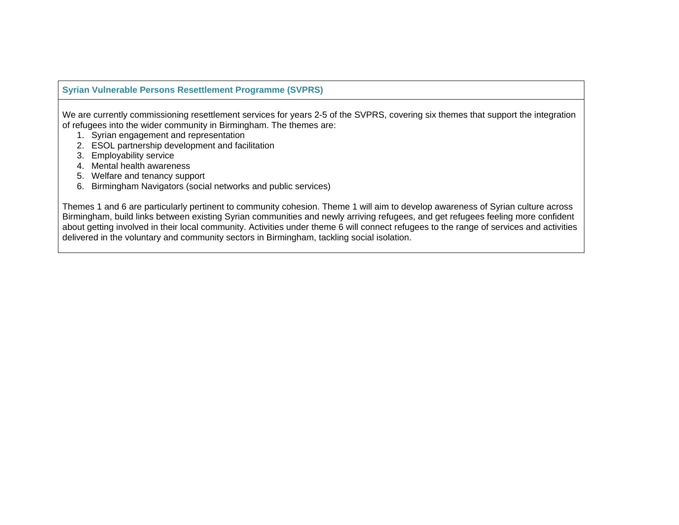# **Syrian Vulnerable Persons Resettlement Programme (SVPRS)**

We are currently commissioning resettlement services for years 2-5 of the SVPRS, covering six themes that support the integration of refugees into the wider community in Birmingham. The themes are:

- 1. Syrian engagement and representation
- 2. ESOL partnership development and facilitation
- 3. Employability service
- 4. Mental health awareness
- 5. Welfare and tenancy support
- 6. Birmingham Navigators (social networks and public services)

Themes 1 and 6 are particularly pertinent to community cohesion. Theme 1 will aim to develop awareness of Syrian culture across Birmingham, build links between existing Syrian communities and newly arriving refugees, and get refugees feeling more confident about getting involved in their local community. Activities under theme 6 will connect refugees to the range of services and activities delivered in the voluntary and community sectors in Birmingham, tackling social isolation.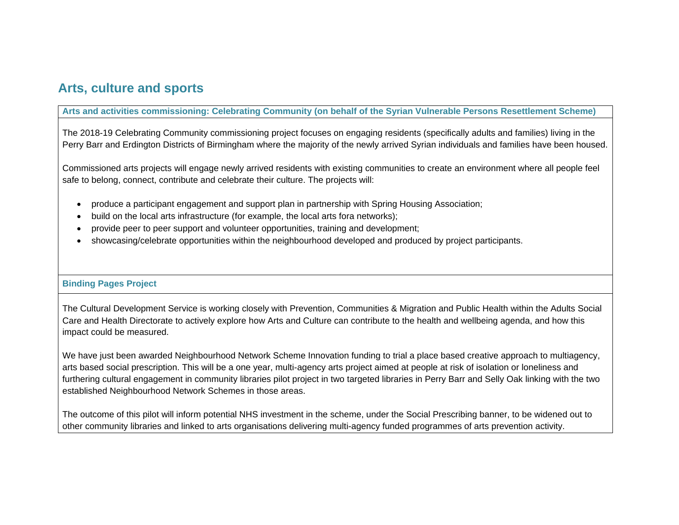# **Arts, culture and sports**

# **Arts and activities commissioning: Celebrating Community (on behalf of the Syrian Vulnerable Persons Resettlement Scheme)**

The 2018-19 Celebrating Community commissioning project focuses on engaging residents (specifically adults and families) living in the Perry Barr and Erdington Districts of Birmingham where the majority of the newly arrived Syrian individuals and families have been housed.

Commissioned arts projects will engage newly arrived residents with existing communities to create an environment where all people feel safe to belong, connect, contribute and celebrate their culture. The projects will:

- produce a participant engagement and support plan in partnership with Spring Housing Association;
- build on the local arts infrastructure (for example, the local arts fora networks);
- provide peer to peer support and volunteer opportunities, training and development;
- showcasing/celebrate opportunities within the neighbourhood developed and produced by project participants.

# **Binding Pages Project**

The Cultural Development Service is working closely with Prevention, Communities & Migration and Public Health within the Adults Social Care and Health Directorate to actively explore how Arts and Culture can contribute to the health and wellbeing agenda, and how this impact could be measured.

We have just been awarded Neighbourhood Network Scheme Innovation funding to trial a place based creative approach to multiagency, arts based social prescription. This will be a one year, multi-agency arts project aimed at people at risk of isolation or loneliness and furthering cultural engagement in community libraries pilot project in two targeted libraries in Perry Barr and Selly Oak linking with the two established Neighbourhood Network Schemes in those areas.

The outcome of this pilot will inform potential NHS investment in the scheme, under the Social Prescribing banner, to be widened out to other community libraries and linked to arts organisations delivering multi-agency funded programmes of arts prevention activity.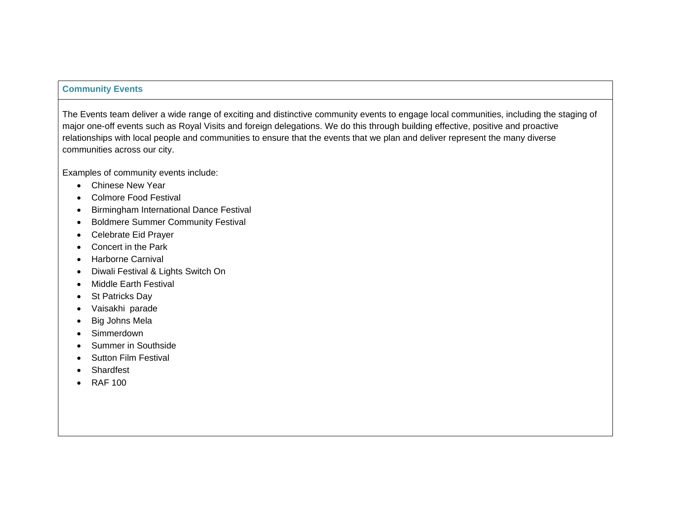#### **Community Events**

The Events team deliver a wide range of exciting and distinctive community events to engage local communities, including the staging of major one-off events such as Royal Visits and foreign delegations. We do this through building effective, positive and proactive relationships with local people and communities to ensure that the events that we plan and deliver represent the many diverse communities across our city.

Examples of community events include:

- Chinese New Year
- Colmore Food Festival
- **•** Birmingham International Dance Festival
- Boldmere Summer Community Festival
- Celebrate Eid Prayer
- Concert in the Park
- Harborne Carnival
- Diwali Festival & Lights Switch On
- Middle Earth Festival
- St Patricks Day
- Vaisakhi parade
- Big Johns Mela
- Simmerdown
- Summer in Southside
- Sutton Film Festival
- Shardfest
- RAF 100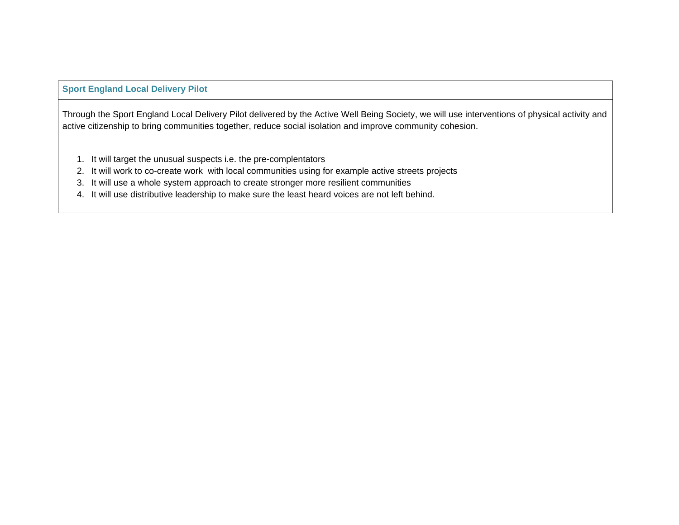# **Sport England Local Delivery Pilot**

Through the Sport England Local Delivery Pilot delivered by the Active Well Being Society, we will use interventions of physical activity and active citizenship to bring communities together, reduce social isolation and improve community cohesion.

- 1. It will target the unusual suspects i.e. the pre-complentators
- 2. It will work to co-create work with local communities using for example active streets projects
- 3. It will use a whole system approach to create stronger more resilient communities
- 4. It will use distributive leadership to make sure the least heard voices are not left behind.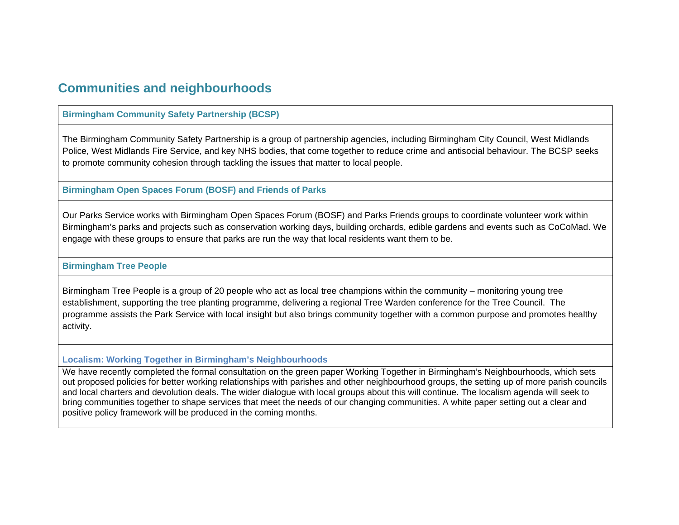# **Communities and neighbourhoods**

## **Birmingham Community Safety Partnership (BCSP)**

The Birmingham Community Safety Partnership is a group of partnership agencies, including Birmingham City Council, West Midlands Police, West Midlands Fire Service, and key NHS bodies, that come together to reduce crime and antisocial behaviour. The BCSP seeks to promote community cohesion through tackling the issues that matter to local people.

#### **Birmingham Open Spaces Forum (BOSF) and Friends of Parks**

Our Parks Service works with Birmingham Open Spaces Forum (BOSF) and Parks Friends groups to coordinate volunteer work within Birmingham's parks and projects such as conservation working days, building orchards, edible gardens and events such as CoCoMad. We engage with these groups to ensure that parks are run the way that local residents want them to be.

## **Birmingham Tree People**

Birmingham Tree People is a group of 20 people who act as local tree champions within the community – monitoring young tree establishment, supporting the tree planting programme, delivering a regional Tree Warden conference for the Tree Council. The programme assists the Park Service with local insight but also brings community together with a common purpose and promotes healthy activity.

## **Localism: Working Together in Birmingham's Neighbourhoods**

We have recently completed the formal consultation on the green paper Working Together in Birmingham's Neighbourhoods, which sets out proposed policies for better working relationships with parishes and other neighbourhood groups, the setting up of more parish councils and local charters and devolution deals. The wider dialogue with local groups about this will continue. The localism agenda will seek to bring communities together to shape services that meet the needs of our changing communities. A white paper setting out a clear and positive policy framework will be produced in the coming months.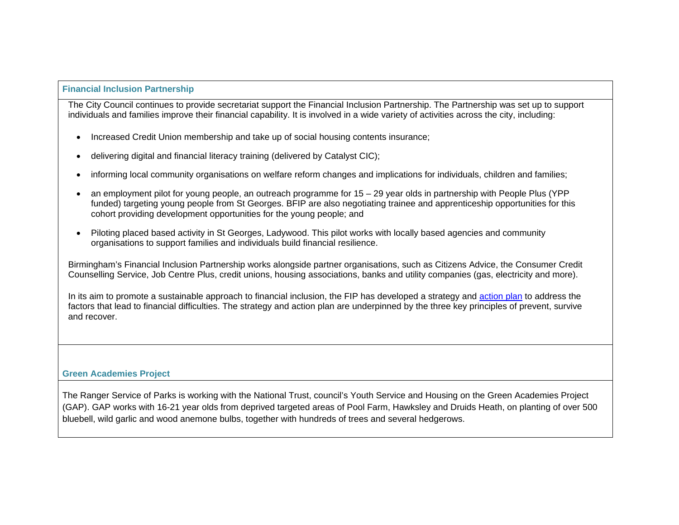## **Financial Inclusion Partnership**

The City Council continues to provide secretariat support the Financial Inclusion Partnership. The Partnership was set up to support individuals and families improve their financial capability. It is involved in a wide variety of activities across the city, including:

- Increased Credit Union membership and take up of social housing contents insurance;
- delivering digital and financial literacy training (delivered by Catalyst CIC);
- informing local community organisations on welfare reform changes and implications for individuals, children and families;
- an employment pilot for young people, an outreach programme for 15 29 year olds in partnership with People Plus (YPP funded) targeting young people from St Georges. BFIP are also negotiating trainee and apprenticeship opportunities for this cohort providing development opportunities for the young people; and
- Piloting placed based activity in St Georges, Ladywood. This pilot works with locally based agencies and community organisations to support families and individuals build financial resilience.

Birmingham's Financial Inclusion Partnership works alongside partner organisations, such as Citizens Advice, the Consumer Credit Counselling Service, Job Centre Plus, credit unions, housing associations, banks and utility companies (gas, electricity and more).

In its aim to promote a sustainable approach to financial inclusion, the FIP has developed a strategy and action plan to address the factors that lead to financial difficulties. The strategy and action plan are underpinned by the three key principles of prevent, survive and recover.

# **Green Academies Project**

The Ranger Service of Parks is working with the National Trust, council's Youth Service and Housing on the Green Academies Project (GAP). GAP works with 16-21 year olds from deprived targeted areas of Pool Farm, Hawksley and Druids Heath, on planting of over 500 bluebell, wild garlic and wood anemone bulbs, together with hundreds of trees and several hedgerows.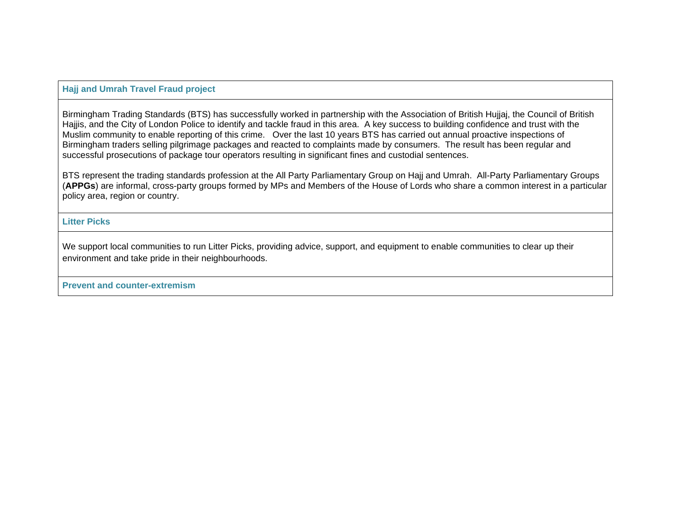## **Hajj and Umrah Travel Fraud project**

Birmingham Trading Standards (BTS) has successfully worked in partnership with the Association of British Hujjaj, the Council of British Hajjis, and the City of London Police to identify and tackle fraud in this area. A key success to building confidence and trust with the Muslim community to enable reporting of this crime. Over the last 10 years BTS has carried out annual proactive inspections of Birmingham traders selling pilgrimage packages and reacted to complaints made by consumers. The result has been regular and successful prosecutions of package tour operators resulting in significant fines and custodial sentences.

BTS represent the trading standards profession at the All Party Parliamentary Group on Hajj and Umrah. All-Party Parliamentary Groups (**APPGs**) are informal, cross-party groups formed by MPs and Members of the House of Lords who share a common interest in a particular policy area, region or country.

**Litter Picks** 

We support local communities to run Litter Picks, providing advice, support, and equipment to enable communities to clear up their environment and take pride in their neighbourhoods.

**Prevent and counter-extremism**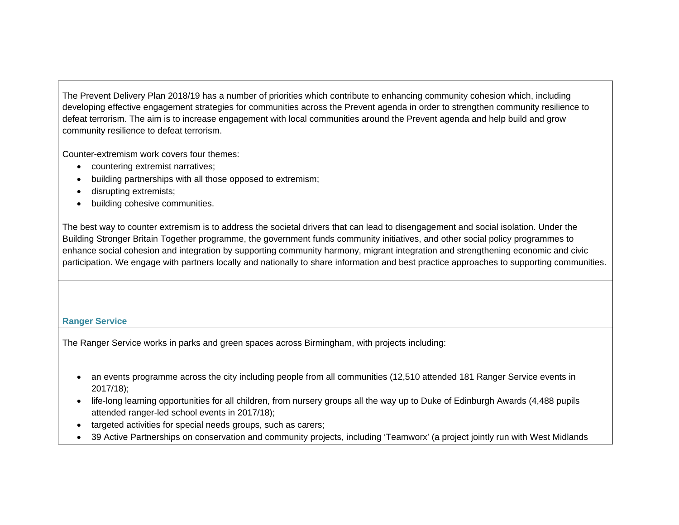The Prevent Delivery Plan 2018/19 has a number of priorities which contribute to enhancing community cohesion which, including developing effective engagement strategies for communities across the Prevent agenda in order to strengthen community resilience to defeat terrorism. The aim is to increase engagement with local communities around the Prevent agenda and help build and grow community resilience to defeat terrorism.

Counter-extremism work covers four themes:

- countering extremist narratives;
- building partnerships with all those opposed to extremism;
- disrupting extremists;
- building cohesive communities.

The best way to counter extremism is to address the societal drivers that can lead to disengagement and social isolation. Under the Building Stronger Britain Together programme, the government funds community initiatives, and other social policy programmes to enhance social cohesion and integration by supporting community harmony, migrant integration and strengthening economic and civic participation. We engage with partners locally and nationally to share information and best practice approaches to supporting communities.

# **Ranger Service**

The Ranger Service works in parks and green spaces across Birmingham, with projects including:

- an events programme across the city including people from all communities (12,510 attended 181 Ranger Service events in 2017/18);
- life-long learning opportunities for all children, from nursery groups all the way up to Duke of Edinburgh Awards (4,488 pupils attended ranger-led school events in 2017/18);
- targeted activities for special needs groups, such as carers;
- 39 Active Partnerships on conservation and community projects, including 'Teamworx' (a project jointly run with West Midlands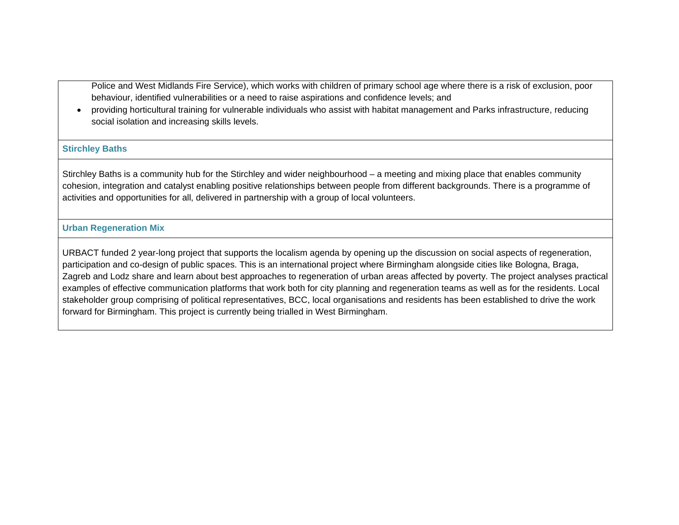Police and West Midlands Fire Service), which works with children of primary school age where there is a risk of exclusion, poor behaviour, identified vulnerabilities or a need to raise aspirations and confidence levels; and

 providing horticultural training for vulnerable individuals who assist with habitat management and Parks infrastructure, reducing social isolation and increasing skills levels.

#### **Stirchley Baths**

Stirchley Baths is a community hub for the Stirchley and wider neighbourhood – a meeting and mixing place that enables community cohesion, integration and catalyst enabling positive relationships between people from different backgrounds. There is a programme of activities and opportunities for all, delivered in partnership with a group of local volunteers.

### **Urban Regeneration Mix**

URBACT funded 2 year-long project that supports the localism agenda by opening up the discussion on social aspects of regeneration, participation and co-design of public spaces. This is an international project where Birmingham alongside cities like Bologna, Braga, Zagreb and Lodz share and learn about best approaches to regeneration of urban areas affected by poverty. The project analyses practical examples of effective communication platforms that work both for city planning and regeneration teams as well as for the residents. Local stakeholder group comprising of political representatives, BCC, local organisations and residents has been established to drive the work forward for Birmingham. This project is currently being trialled in West Birmingham.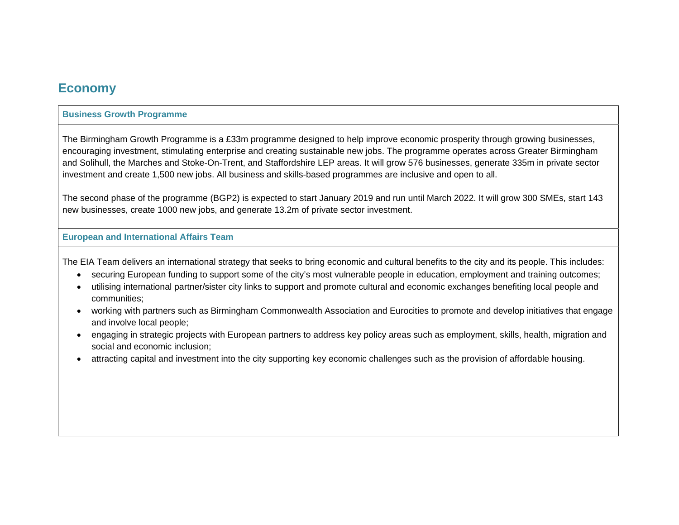# **Economy**

## **Business Growth Programme**

The Birmingham Growth Programme is a £33m programme designed to help improve economic prosperity through growing businesses, encouraging investment, stimulating enterprise and creating sustainable new jobs. The programme operates across Greater Birmingham and Solihull, the Marches and Stoke-On-Trent, and Staffordshire LEP areas. It will grow 576 businesses, generate 335m in private sector investment and create 1,500 new jobs. All business and skills-based programmes are inclusive and open to all.

The second phase of the programme (BGP2) is expected to start January 2019 and run until March 2022. It will grow 300 SMEs, start 143 new businesses, create 1000 new jobs, and generate 13.2m of private sector investment.

#### **European and International Affairs Team**

The EIA Team delivers an international strategy that seeks to bring economic and cultural benefits to the city and its people. This includes:

- securing European funding to support some of the city's most vulnerable people in education, employment and training outcomes;
- utilising international partner/sister city links to support and promote cultural and economic exchanges benefiting local people and communities;
- working with partners such as Birmingham Commonwealth Association and Eurocities to promote and develop initiatives that engage and involve local people;
- engaging in strategic projects with European partners to address key policy areas such as employment, skills, health, migration and social and economic inclusion;
- attracting capital and investment into the city supporting key economic challenges such as the provision of affordable housing.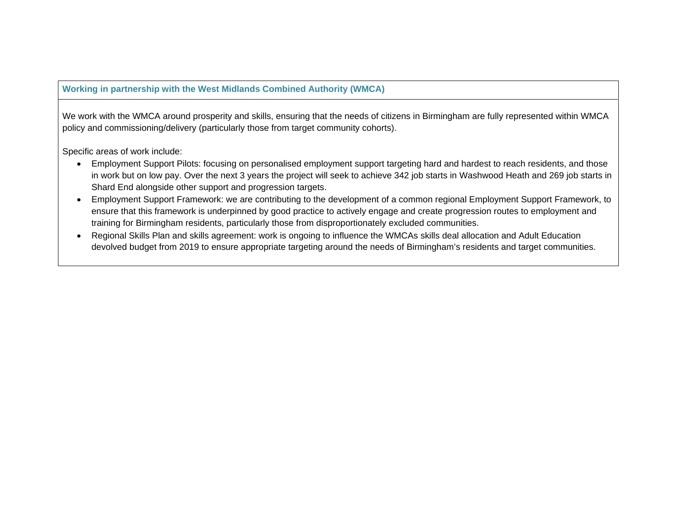# **Working in partnership with the West Midlands Combined Authority (WMCA)**

We work with the WMCA around prosperity and skills, ensuring that the needs of citizens in Birmingham are fully represented within WMCA policy and commissioning/delivery (particularly those from target community cohorts).

Specific areas of work include:

- Employment Support Pilots: focusing on personalised employment support targeting hard and hardest to reach residents, and those in work but on low pay. Over the next 3 years the project will seek to achieve 342 job starts in Washwood Heath and 269 job starts in Shard End alongside other support and progression targets.
- Employment Support Framework: we are contributing to the development of a common regional Employment Support Framework, to ensure that this framework is underpinned by good practice to actively engage and create progression routes to employment and training for Birmingham residents, particularly those from disproportionately excluded communities.
- Regional Skills Plan and skills agreement: work is ongoing to influence the WMCAs skills deal allocation and Adult Education devolved budget from 2019 to ensure appropriate targeting around the needs of Birmingham's residents and target communities.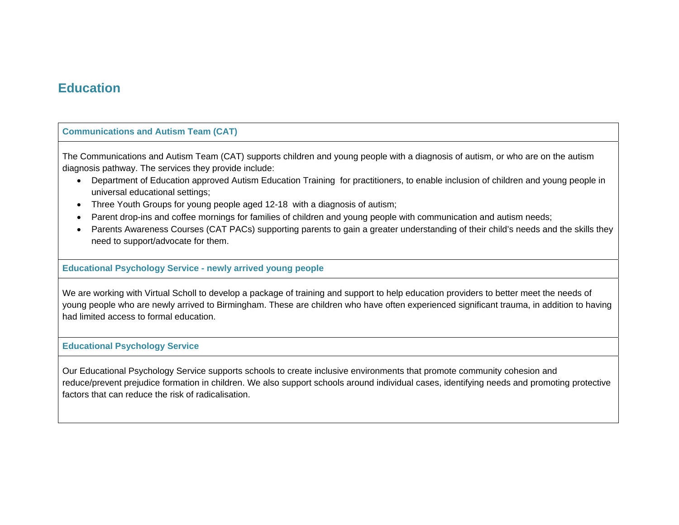# **Education**

## **Communications and Autism Team (CAT)**

The Communications and Autism Team (CAT) supports children and young people with a diagnosis of autism, or who are on the autism diagnosis pathway. The services they provide include:

- Department of Education approved Autism Education Training for practitioners, to enable inclusion of children and young people in universal educational settings;
- Three Youth Groups for young people aged 12-18 with a diagnosis of autism;
- Parent drop-ins and coffee mornings for families of children and young people with communication and autism needs;
- Parents Awareness Courses (CAT PACs) supporting parents to gain a greater understanding of their child's needs and the skills they need to support/advocate for them.

# **Educational Psychology Service - newly arrived young people**

We are working with Virtual Scholl to develop a package of training and support to help education providers to better meet the needs of young people who are newly arrived to Birmingham. These are children who have often experienced significant trauma, in addition to having had limited access to formal education.

# **Educational Psychology Service**

Our Educational Psychology Service supports schools to create inclusive environments that promote community cohesion and reduce/prevent prejudice formation in children. We also support schools around individual cases, identifying needs and promoting protective factors that can reduce the risk of radicalisation.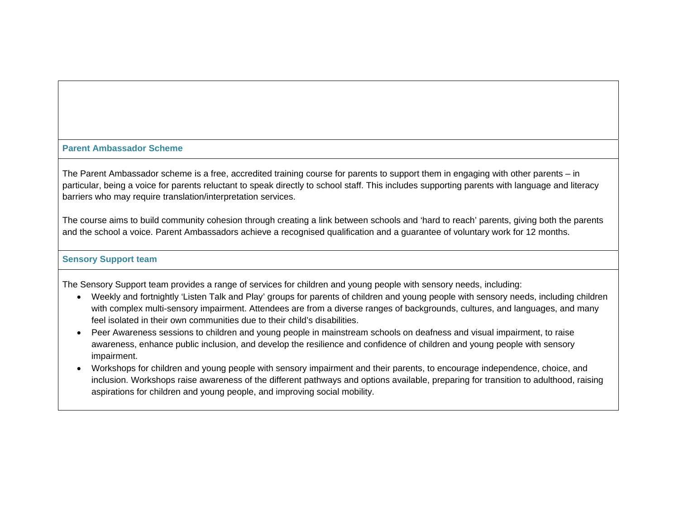#### **Parent Ambassador Scheme**

The Parent Ambassador scheme is a free, accredited training course for parents to support them in engaging with other parents – in particular, being a voice for parents reluctant to speak directly to school staff. This includes supporting parents with language and literacy barriers who may require translation/interpretation services.

The course aims to build community cohesion through creating a link between schools and 'hard to reach' parents, giving both the parents and the school a voice. Parent Ambassadors achieve a recognised qualification and a guarantee of voluntary work for 12 months.

## **Sensory Support team**

The Sensory Support team provides a range of services for children and young people with sensory needs, including:

- Weekly and fortnightly 'Listen Talk and Play' groups for parents of children and young people with sensory needs, including children with complex multi-sensory impairment. Attendees are from a diverse ranges of backgrounds, cultures, and languages, and many feel isolated in their own communities due to their child's disabilities.
- Peer Awareness sessions to children and young people in mainstream schools on deafness and visual impairment, to raise awareness, enhance public inclusion, and develop the resilience and confidence of children and young people with sensory impairment.
- Workshops for children and young people with sensory impairment and their parents, to encourage independence, choice, and inclusion. Workshops raise awareness of the different pathways and options available, preparing for transition to adulthood, raising aspirations for children and young people, and improving social mobility.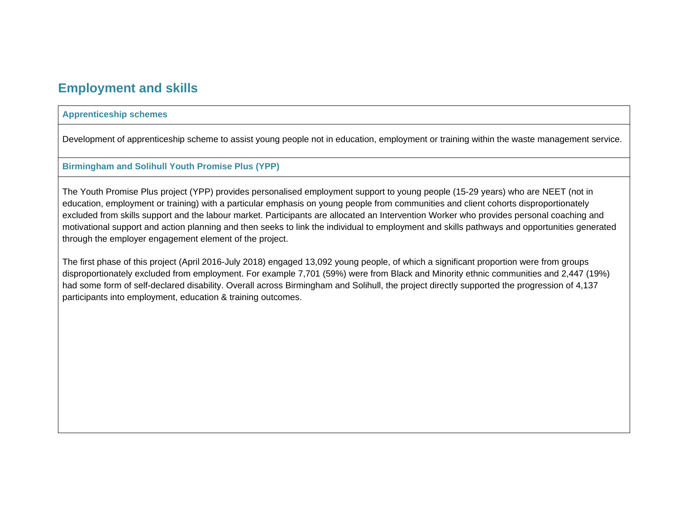# **Employment and skills**

## **Apprenticeship schemes**

Development of apprenticeship scheme to assist young people not in education, employment or training within the waste management service.

## **Birmingham and Solihull Youth Promise Plus (YPP)**

The Youth Promise Plus project (YPP) provides personalised employment support to young people (15-29 years) who are NEET (not in education, employment or training) with a particular emphasis on young people from communities and client cohorts disproportionately excluded from skills support and the labour market. Participants are allocated an Intervention Worker who provides personal coaching and motivational support and action planning and then seeks to link the individual to employment and skills pathways and opportunities generated through the employer engagement element of the project.

The first phase of this project (April 2016-July 2018) engaged 13,092 young people, of which a significant proportion were from groups disproportionately excluded from employment. For example 7,701 (59%) were from Black and Minority ethnic communities and 2,447 (19%) had some form of self-declared disability. Overall across Birmingham and Solihull, the project directly supported the progression of 4,137 participants into employment, education & training outcomes.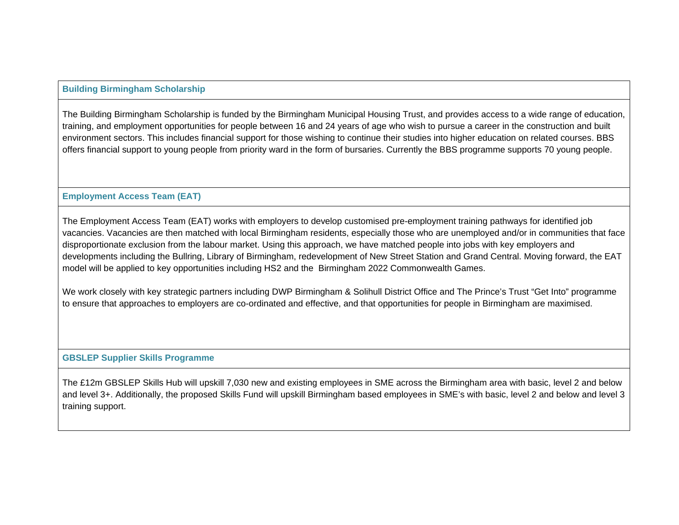# **Building Birmingham Scholarship**

The Building Birmingham Scholarship is funded by the Birmingham Municipal Housing Trust, and provides access to a wide range of education, training, and employment opportunities for people between 16 and 24 years of age who wish to pursue a career in the construction and built environment sectors. This includes financial support for those wishing to continue their studies into higher education on related courses. BBS offers financial support to young people from priority ward in the form of bursaries. Currently the BBS programme supports 70 young people.

# **Employment Access Team (EAT)**

The Employment Access Team (EAT) works with employers to develop customised pre-employment training pathways for identified job vacancies. Vacancies are then matched with local Birmingham residents, especially those who are unemployed and/or in communities that face disproportionate exclusion from the labour market. Using this approach, we have matched people into jobs with key employers and developments including the Bullring, Library of Birmingham, redevelopment of New Street Station and Grand Central. Moving forward, the EAT model will be applied to key opportunities including HS2 and the Birmingham 2022 Commonwealth Games.

We work closely with key strategic partners including DWP Birmingham & Solihull District Office and The Prince's Trust "Get Into" programme to ensure that approaches to employers are co-ordinated and effective, and that opportunities for people in Birmingham are maximised.

# **GBSLEP Supplier Skills Programme**

The £12m GBSLEP Skills Hub will upskill 7,030 new and existing employees in SME across the Birmingham area with basic, level 2 and below and level 3+. Additionally, the proposed Skills Fund will upskill Birmingham based employees in SME's with basic, level 2 and below and level 3 training support.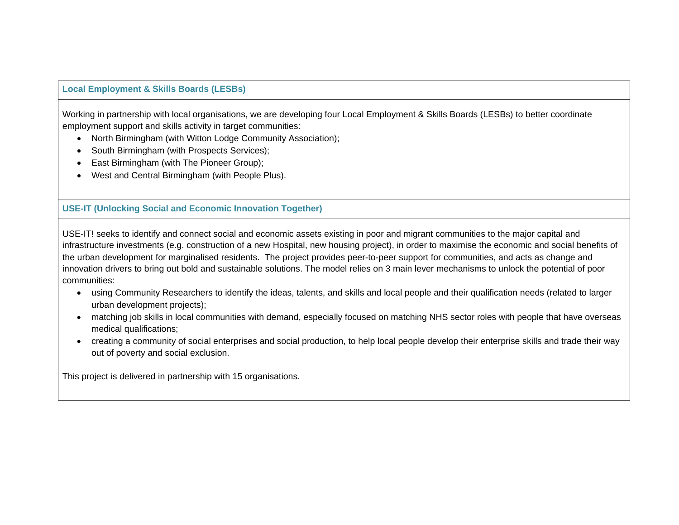# **Local Employment & Skills Boards (LESBs)**

Working in partnership with local organisations, we are developing four Local Employment & Skills Boards (LESBs) to better coordinate employment support and skills activity in target communities:

- North Birmingham (with Witton Lodge Community Association);
- South Birmingham (with Prospects Services);
- East Birmingham (with The Pioneer Group);
- West and Central Birmingham (with People Plus).

# **USE-IT (Unlocking Social and Economic Innovation Together)**

USE-IT! seeks to identify and connect social and economic assets existing in poor and migrant communities to the major capital and infrastructure investments (e.g. construction of a new Hospital, new housing project), in order to maximise the economic and social benefits of the urban development for marginalised residents. The project provides peer-to-peer support for communities, and acts as change and innovation drivers to bring out bold and sustainable solutions. The model relies on 3 main lever mechanisms to unlock the potential of poor communities:

- using Community Researchers to identify the ideas, talents, and skills and local people and their qualification needs (related to larger urban development projects);
- matching job skills in local communities with demand, especially focused on matching NHS sector roles with people that have overseas medical qualifications;
- creating a community of social enterprises and social production, to help local people develop their enterprise skills and trade their way out of poverty and social exclusion.

This project is delivered in partnership with 15 organisations.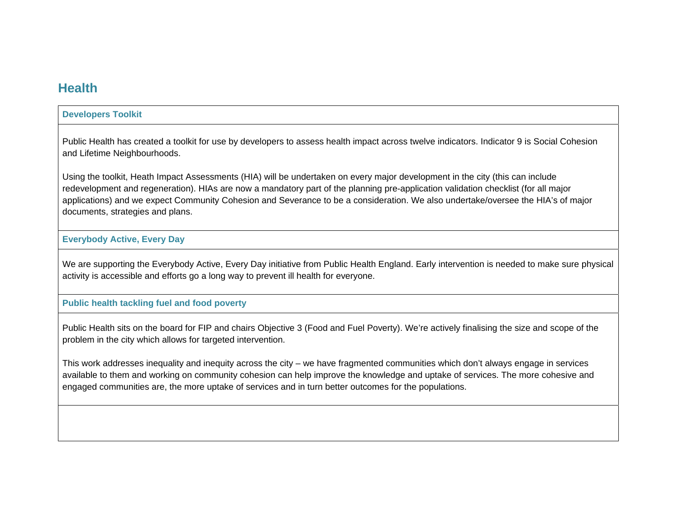# **Health**

## **Developers Toolkit**

Public Health has created a toolkit for use by developers to assess health impact across twelve indicators. Indicator 9 is Social Cohesion and Lifetime Neighbourhoods.

Using the toolkit, Heath Impact Assessments (HIA) will be undertaken on every major development in the city (this can include redevelopment and regeneration). HIAs are now a mandatory part of the planning pre-application validation checklist (for all major applications) and we expect Community Cohesion and Severance to be a consideration. We also undertake/oversee the HIA's of major documents, strategies and plans.

# **Everybody Active, Every Day**

We are supporting the Everybody Active, Every Day initiative from Public Health England. Early intervention is needed to make sure physical activity is accessible and efforts go a long way to prevent ill health for everyone.

### **Public health tackling fuel and food poverty**

Public Health sits on the board for FIP and chairs Objective 3 (Food and Fuel Poverty). We're actively finalising the size and scope of the problem in the city which allows for targeted intervention.

This work addresses inequality and inequity across the city – we have fragmented communities which don't always engage in services available to them and working on community cohesion can help improve the knowledge and uptake of services. The more cohesive and engaged communities are, the more uptake of services and in turn better outcomes for the populations.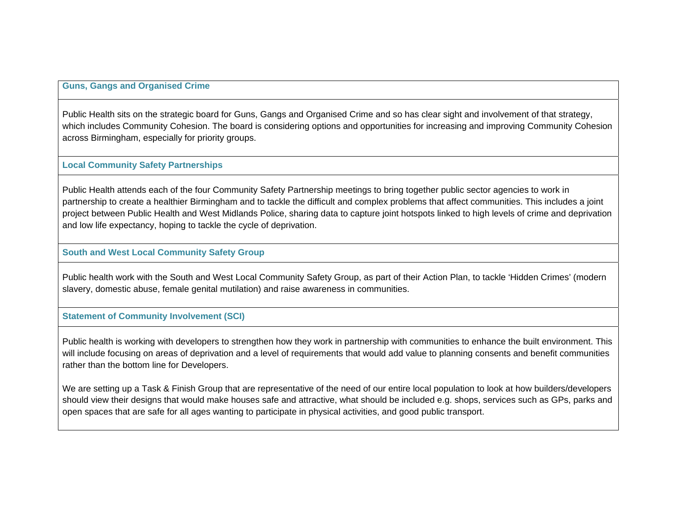## **Guns, Gangs and Organised Crime**

Public Health sits on the strategic board for Guns, Gangs and Organised Crime and so has clear sight and involvement of that strategy, which includes Community Cohesion. The board is considering options and opportunities for increasing and improving Community Cohesion across Birmingham, especially for priority groups.

#### **Local Community Safety Partnerships**

Public Health attends each of the four Community Safety Partnership meetings to bring together public sector agencies to work in partnership to create a healthier Birmingham and to tackle the difficult and complex problems that affect communities. This includes a joint project between Public Health and West Midlands Police, sharing data to capture joint hotspots linked to high levels of crime and deprivation and low life expectancy, hoping to tackle the cycle of deprivation.

#### **South and West Local Community Safety Group**

Public health work with the South and West Local Community Safety Group, as part of their Action Plan, to tackle 'Hidden Crimes' (modern slavery, domestic abuse, female genital mutilation) and raise awareness in communities.

### **Statement of Community Involvement (SCI)**

Public health is working with developers to strengthen how they work in partnership with communities to enhance the built environment. This will include focusing on areas of deprivation and a level of requirements that would add value to planning consents and benefit communities rather than the bottom line for Developers.

We are setting up a Task & Finish Group that are representative of the need of our entire local population to look at how builders/developers should view their designs that would make houses safe and attractive, what should be included e.g. shops, services such as GPs, parks and open spaces that are safe for all ages wanting to participate in physical activities, and good public transport.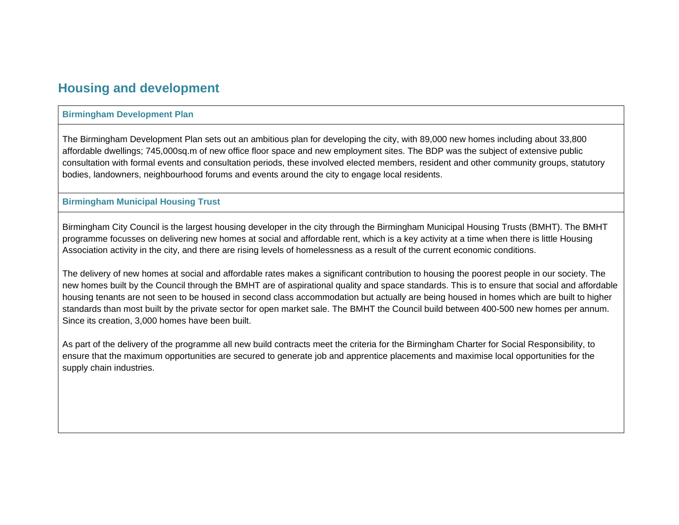# **Housing and development**

## **Birmingham Development Plan**

The Birmingham Development Plan sets out an ambitious plan for developing the city, with 89,000 new homes including about 33,800 affordable dwellings; 745,000sq.m of new office floor space and new employment sites. The BDP was the subject of extensive public consultation with formal events and consultation periods, these involved elected members, resident and other community groups, statutory bodies, landowners, neighbourhood forums and events around the city to engage local residents.

### **Birmingham Municipal Housing Trust**

Birmingham City Council is the largest housing developer in the city through the Birmingham Municipal Housing Trusts (BMHT). The BMHT programme focusses on delivering new homes at social and affordable rent, which is a key activity at a time when there is little Housing Association activity in the city, and there are rising levels of homelessness as a result of the current economic conditions.

The delivery of new homes at social and affordable rates makes a significant contribution to housing the poorest people in our society. The new homes built by the Council through the BMHT are of aspirational quality and space standards. This is to ensure that social and affordable housing tenants are not seen to be housed in second class accommodation but actually are being housed in homes which are built to higher standards than most built by the private sector for open market sale. The BMHT the Council build between 400-500 new homes per annum. Since its creation, 3,000 homes have been built.

As part of the delivery of the programme all new build contracts meet the criteria for the Birmingham Charter for Social Responsibility, to ensure that the maximum opportunities are secured to generate job and apprentice placements and maximise local opportunities for the supply chain industries.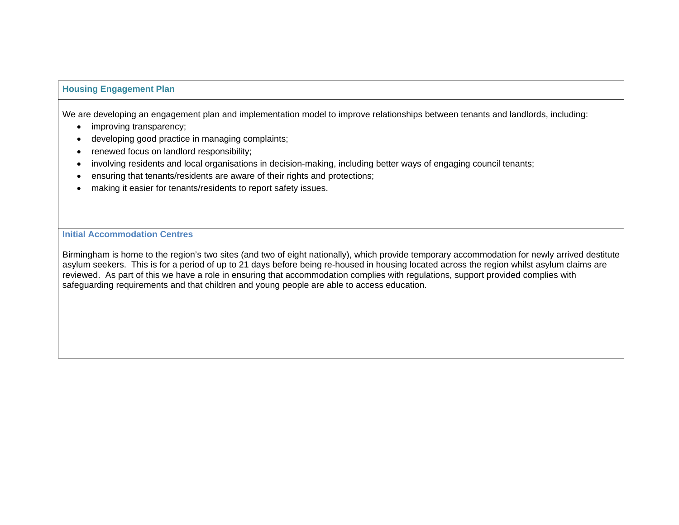# **Housing Engagement Plan**

We are developing an engagement plan and implementation model to improve relationships between tenants and landlords, including:

- improving transparency;
- developing good practice in managing complaints;
- renewed focus on landlord responsibility;
- involving residents and local organisations in decision-making, including better ways of engaging council tenants;
- ensuring that tenants/residents are aware of their rights and protections;
- making it easier for tenants/residents to report safety issues.

**Initial Accommodation Centres** 

Birmingham is home to the region's two sites (and two of eight nationally), which provide temporary accommodation for newly arrived destitute asylum seekers. This is for a period of up to 21 days before being re-housed in housing located across the region whilst asylum claims are reviewed. As part of this we have a role in ensuring that accommodation complies with regulations, support provided complies with safeguarding requirements and that children and young people are able to access education.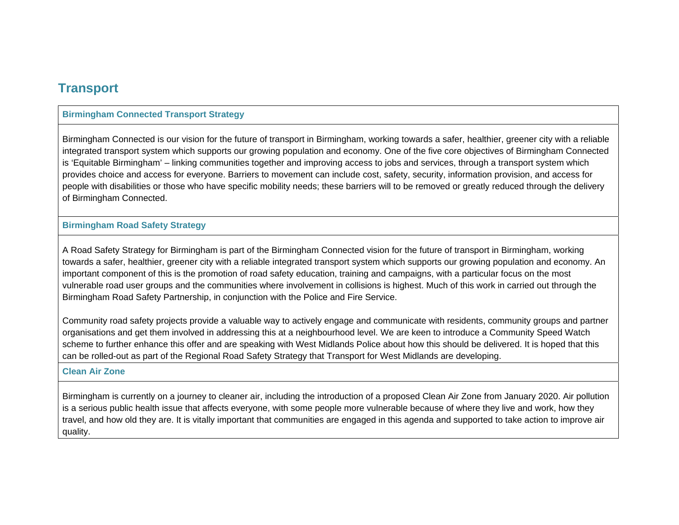# **Transport**

# **Birmingham Connected Transport Strategy**

Birmingham Connected is our vision for the future of transport in Birmingham, working towards a safer, healthier, greener city with a reliable integrated transport system which supports our growing population and economy. One of the five core objectives of Birmingham Connected is 'Equitable Birmingham' – linking communities together and improving access to jobs and services, through a transport system which provides choice and access for everyone. Barriers to movement can include cost, safety, security, information provision, and access for people with disabilities or those who have specific mobility needs; these barriers will to be removed or greatly reduced through the delivery of Birmingham Connected.

#### **Birmingham Road Safety Strategy**

A Road Safety Strategy for Birmingham is part of the Birmingham Connected vision for the future of transport in Birmingham, working towards a safer, healthier, greener city with a reliable integrated transport system which supports our growing population and economy. An important component of this is the promotion of road safety education, training and campaigns, with a particular focus on the most vulnerable road user groups and the communities where involvement in collisions is highest. Much of this work in carried out through the Birmingham Road Safety Partnership, in conjunction with the Police and Fire Service.

Community road safety projects provide a valuable way to actively engage and communicate with residents, community groups and partner organisations and get them involved in addressing this at a neighbourhood level. We are keen to introduce a Community Speed Watch scheme to further enhance this offer and are speaking with West Midlands Police about how this should be delivered. It is hoped that this can be rolled-out as part of the Regional Road Safety Strategy that Transport for West Midlands are developing.

#### **Clean Air Zone**

Birmingham is currently on a journey to cleaner air, including the introduction of a proposed Clean Air Zone from January 2020. Air pollution is a serious public health issue that affects everyone, with some people more vulnerable because of where they live and work, how they travel, and how old they are. It is vitally important that communities are engaged in this agenda and supported to take action to improve air quality.